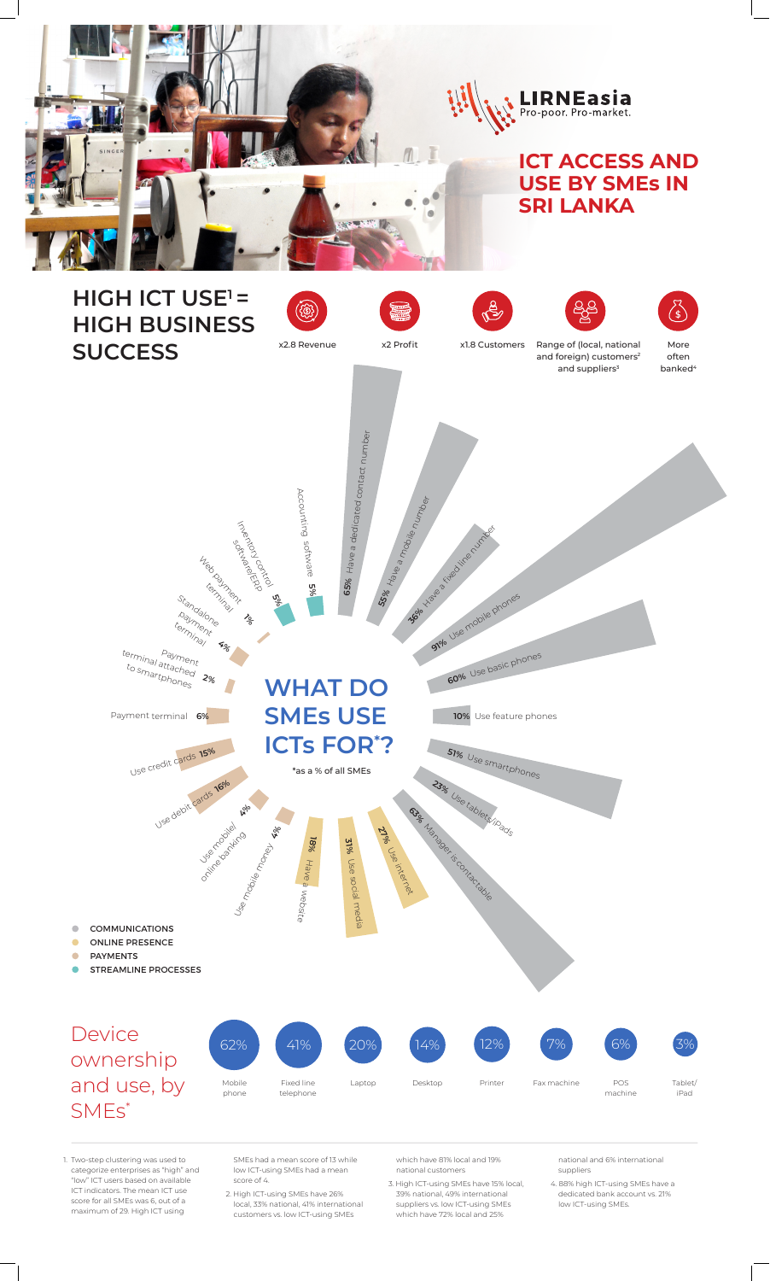

Payment terminal **6%**

**10%** Use feature phones



**WHAT DO SMEs USE ICTs FOR\* ?**

- SMEs had a mean score of 13 while low ICT-using SMEs had a mean score of 4.
- 2. High ICT-using SMEs have 26% local, 33% national, 41% international customers vs. low ICT-using SMEs

1. Two-step clustering was used to categorize enterprises as "high" and "low" ICT users based on available ICT indicators. The mean ICT use score for all SMEs was 6, out of a maximum of 29. High ICT using

which have 81% local and 19% national customers

3. High ICT-using SMEs have 15% local, 39% national, 49% international suppliers vs. low ICT-using SMEs which have 72% local and 25%

national and 6% international suppliers

4. 88% high ICT-using SMEs have a dedicated bank account vs. 21% low ICT-using SMEs.